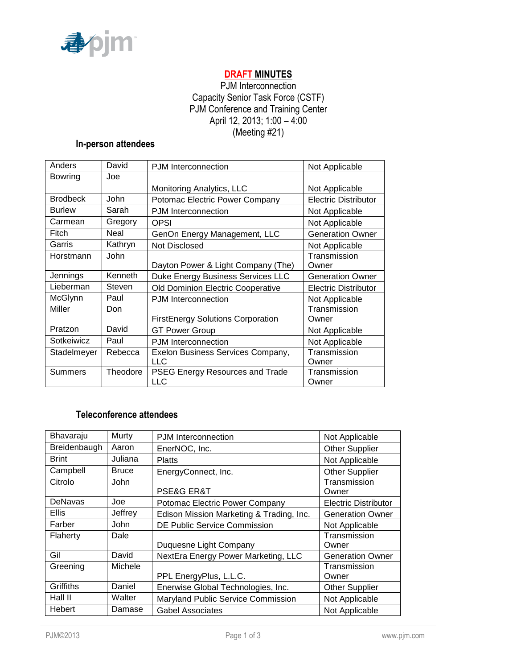

# **DRAFT MINUTES**

# PJM Interconnection Capacity Senior Task Force (CSTF) PJM Conference and Training Center April 12, 2013; 1:00 – 4:00 (Meeting #21)

### **In-person attendees**

| Anders          | David       | <b>PJM</b> Interconnection                    | Not Applicable              |
|-----------------|-------------|-----------------------------------------------|-----------------------------|
| <b>Bowring</b>  | Joe         |                                               |                             |
|                 |             | Monitoring Analytics, LLC                     | Not Applicable              |
| <b>Brodbeck</b> | <b>John</b> | Potomac Electric Power Company                | <b>Electric Distributor</b> |
| <b>Burlew</b>   | Sarah       | PJM Interconnection                           | Not Applicable              |
| Carmean         | Gregory     | OPSI                                          | Not Applicable              |
| Fitch           | Neal        | GenOn Energy Management, LLC                  | <b>Generation Owner</b>     |
| Garris          | Kathryn     | <b>Not Disclosed</b>                          | Not Applicable              |
| Horstmann       | <b>John</b> |                                               | Transmission                |
|                 |             | Dayton Power & Light Company (The)            | Owner                       |
| Jennings        | Kenneth     | Duke Energy Business Services LLC             | <b>Generation Owner</b>     |
| Lieberman       | Steven      | Old Dominion Electric Cooperative             | Electric Distributor        |
| McGlynn         | Paul        | <b>PJM</b> Interconnection                    | Not Applicable              |
| Miller          | Don         |                                               | Transmission                |
|                 |             | <b>FirstEnergy Solutions Corporation</b>      | Owner                       |
| Pratzon         | David       | <b>GT Power Group</b>                         | Not Applicable              |
| Sotkeiwicz      | Paul        | <b>PJM</b> Interconnection                    | Not Applicable              |
| Stadelmeyer     | Rebecca     | Exelon Business Services Company,             | Transmission                |
|                 |             | LLC.                                          | Owner                       |
| <b>Summers</b>  | Theodore    | PSEG Energy Resources and Trade<br><b>LLC</b> | Transmission<br>Owner       |

# **Teleconference attendees**

| Bhavaraju     | Murty        | PJM Interconnection                      | Not Applicable              |
|---------------|--------------|------------------------------------------|-----------------------------|
| Breidenbaugh  | Aaron        | EnerNOC, Inc.                            | <b>Other Supplier</b>       |
| <b>Brint</b>  | Juliana      | <b>Platts</b>                            | Not Applicable              |
| Campbell      | <b>Bruce</b> | EnergyConnect, Inc.                      | <b>Other Supplier</b>       |
| Citrolo       | John         | <b>PSE&amp;G ER&amp;T</b>                | Transmission<br>Owner       |
| DeNavas       | Joe          | Potomac Electric Power Company           | <b>Electric Distributor</b> |
| <b>Ellis</b>  | Jeffrey      | Edison Mission Marketing & Trading, Inc. | <b>Generation Owner</b>     |
| Farber        | John         | <b>DE Public Service Commission</b>      | Not Applicable              |
| Flaherty      | Dale         | Duquesne Light Company                   | Transmission<br>Owner       |
| Gil           | David        | NextEra Energy Power Marketing, LLC      | <b>Generation Owner</b>     |
| Greening      | Michele      | PPL EnergyPlus, L.L.C.                   | Transmission<br>Owner       |
| Griffiths     | Daniel       | Enerwise Global Technologies, Inc.       | <b>Other Supplier</b>       |
| Hall II       | Walter       | Maryland Public Service Commission       | Not Applicable              |
| <b>Hebert</b> | Damase       | Gabel Associates                         | Not Applicable              |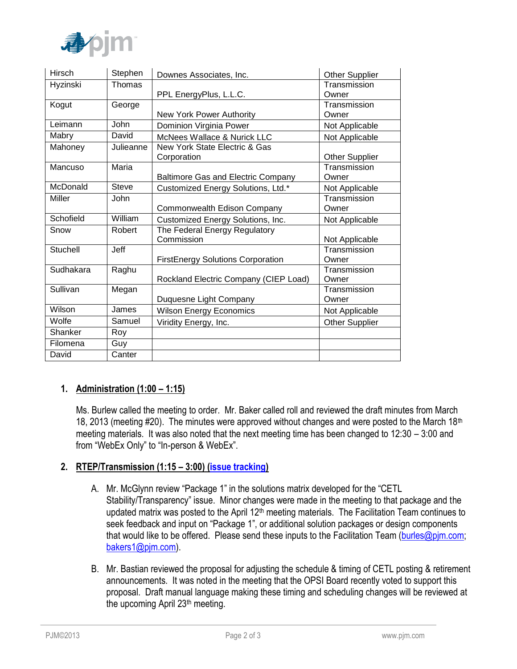

| Hirsch    | Stephen      | Downes Associates, Inc.                   | <b>Other Supplier</b> |
|-----------|--------------|-------------------------------------------|-----------------------|
| Hyzinski  | Thomas       |                                           | Transmission          |
|           |              | PPL EnergyPlus, L.L.C.                    | Owner                 |
| Kogut     | George       |                                           | Transmission          |
|           |              | New York Power Authority                  | Owner                 |
| Leimann   | <b>John</b>  | Dominion Virginia Power                   | Not Applicable        |
| Mabry     | David        | McNees Wallace & Nurick LLC               | Not Applicable        |
| Mahoney   | Julieanne    | New York State Electric & Gas             |                       |
|           |              | Corporation                               | <b>Other Supplier</b> |
| Mancuso   | Maria        |                                           | Transmission          |
|           |              | <b>Baltimore Gas and Electric Company</b> | Owner                 |
| McDonald  | <b>Steve</b> | Customized Energy Solutions, Ltd.*        | Not Applicable        |
| Miller    | John         |                                           | Transmission          |
|           |              | Commonwealth Edison Company               | Owner                 |
| Schofield | William      | Customized Energy Solutions, Inc.         | Not Applicable        |
| Snow      | Robert       | The Federal Energy Regulatory             |                       |
|           |              | Commission                                | Not Applicable        |
| Stuchell  | Jeff         |                                           | Transmission          |
|           |              | <b>FirstEnergy Solutions Corporation</b>  | Owner                 |
| Sudhakara | Raghu        |                                           | Transmission          |
|           |              | Rockland Electric Company (CIEP Load)     | Owner                 |
| Sullivan  | Megan        |                                           | Transmission          |
|           |              | Duquesne Light Company                    | Owner                 |
| Wilson    | James        | <b>Wilson Energy Economics</b>            | Not Applicable        |
| Wolfe     | Samuel       | Viridity Energy, Inc.                     | <b>Other Supplier</b> |
| Shanker   | Roy          |                                           |                       |
| Filomena  | Guy          |                                           |                       |
| David     | Canter       |                                           |                       |

# **1. Administration (1:00 – 1:15)**

Ms. Burlew called the meeting to order. Mr. Baker called roll and reviewed the draft minutes from March 18, 2013 (meeting #20). The minutes were approved without changes and were posted to the March 18<sup>th</sup> meeting materials. It was also noted that the next meeting time has been changed to 12:30 – 3:00 and from "WebEx Only" to "In-person & WebEx".

### **2. RTEP/Transmission (1:15 – 3:00) [\(issue tracking\)](http://www.pjm.com/committees-and-groups/issue-tracking/issue-tracking-details.aspx?Issue=%7bBB8F79E5-1004-41BD-9AC0-BB59FF349CA8%7d)**

- A. Mr. McGlynn review "Package 1" in the solutions matrix developed for the "CETL Stability/Transparency" issue. Minor changes were made in the meeting to that package and the updated matrix was posted to the April  $12<sup>th</sup>$  meeting materials. The Facilitation Team continues to seek feedback and input on "Package 1", or additional solution packages or design components that would like to be offered. Please send these inputs to the Facilitation Team [\(burles@pjm.com;](mailto:burles@pjm.com) [bakers1@pjm.com\)](mailto:bakers1@pjm.com).
- B. Mr. Bastian reviewed the proposal for adjusting the schedule & timing of CETL posting & retirement announcements. It was noted in the meeting that the OPSI Board recently voted to support this proposal. Draft manual language making these timing and scheduling changes will be reviewed at the upcoming April 23th meeting.